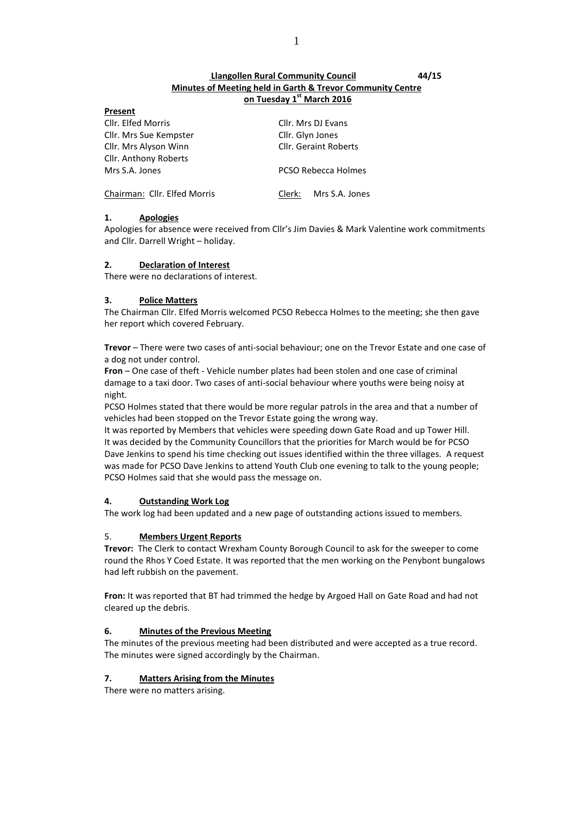## **Llangollen Rural Community Council 44/15 Minutes of Meeting held in Garth & Trevor Community Centre on Tuesday 1 st March 2016**

| Present                      |                              |  |
|------------------------------|------------------------------|--|
| Cllr. Elfed Morris           | Cllr. Mrs DJ Evans           |  |
| Cllr. Mrs Sue Kempster       | Cllr. Glyn Jones             |  |
| Cllr. Mrs Alyson Winn        | <b>Cllr. Geraint Roberts</b> |  |
| <b>Cllr. Anthony Roberts</b> |                              |  |
| Mrs S.A. Jones               | <b>PCSO Rebecca Holmes</b>   |  |
| Chairman: Cllr. Elfed Morris | Mrs S.A. Jones<br>Clerk:     |  |

## **1. Apologies**

Apologies for absence were received from Cllr's Jim Davies & Mark Valentine work commitments and Cllr. Darrell Wright – holiday.

## **2. Declaration of Interest**

There were no declarations of interest.

# **3. Police Matters**

The Chairman Cllr. Elfed Morris welcomed PCSO Rebecca Holmes to the meeting; she then gave her report which covered February.

**Trevor** – There were two cases of anti-social behaviour; one on the Trevor Estate and one case of a dog not under control.

**Fron** – One case of theft - Vehicle number plates had been stolen and one case of criminal damage to a taxi door. Two cases of anti-social behaviour where youths were being noisy at night.

PCSO Holmes stated that there would be more regular patrols in the area and that a number of vehicles had been stopped on the Trevor Estate going the wrong way.

It was reported by Members that vehicles were speeding down Gate Road and up Tower Hill. It was decided by the Community Councillors that the priorities for March would be for PCSO Dave Jenkins to spend his time checking out issues identified within the three villages. A request was made for PCSO Dave Jenkins to attend Youth Club one evening to talk to the young people; PCSO Holmes said that she would pass the message on.

# **4. Outstanding Work Log**

The work log had been updated and a new page of outstanding actions issued to members.

# 5. **Members Urgent Reports**

**Trevor:** The Clerk to contact Wrexham County Borough Council to ask for the sweeper to come round the Rhos Y Coed Estate. It was reported that the men working on the Penybont bungalows had left rubbish on the pavement.

**Fron:** It was reported that BT had trimmed the hedge by Argoed Hall on Gate Road and had not cleared up the debris.

# **6. Minutes of the Previous Meeting**

The minutes of the previous meeting had been distributed and were accepted as a true record. The minutes were signed accordingly by the Chairman.

# **7. Matters Arising from the Minutes**

There were no matters arising.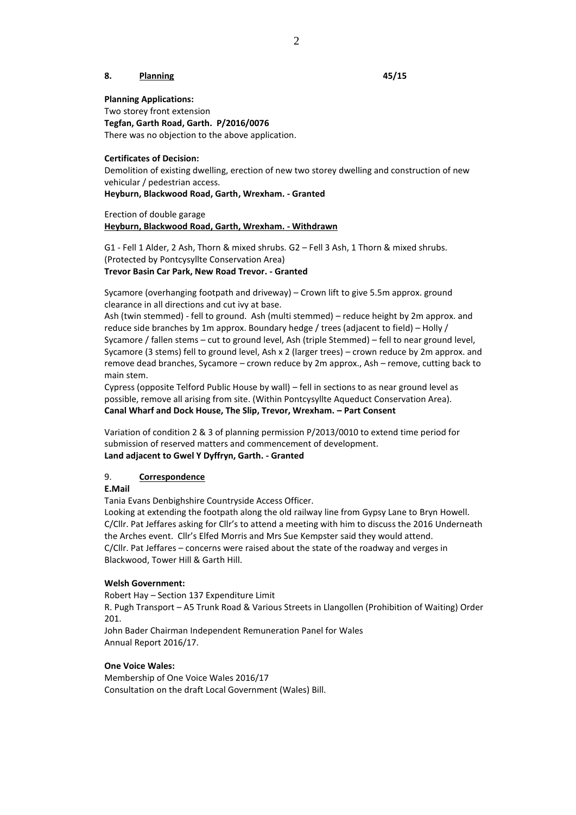#### **8. Planning 45/15**

**Planning Applications:**

Two storey front extension **Tegfan, Garth Road, Garth. P/2016/0076** There was no objection to the above application.

#### **Certificates of Decision:**

Demolition of existing dwelling, erection of new two storey dwelling and construction of new vehicular / pedestrian access.

**Heyburn, Blackwood Road, Garth, Wrexham. - Granted**

Erection of double garage **Heyburn, Blackwood Road, Garth, Wrexham. - Withdrawn**

G1 - Fell 1 Alder, 2 Ash, Thorn & mixed shrubs. G2 – Fell 3 Ash, 1 Thorn & mixed shrubs. (Protected by Pontcysyllte Conservation Area) **Trevor Basin Car Park, New Road Trevor. - Granted**

Sycamore (overhanging footpath and driveway) – Crown lift to give 5.5m approx. ground clearance in all directions and cut ivy at base.

Ash (twin stemmed) - fell to ground. Ash (multi stemmed) – reduce height by 2m approx. and reduce side branches by 1m approx. Boundary hedge / trees (adjacent to field) – Holly / Sycamore / fallen stems – cut to ground level, Ash (triple Stemmed) – fell to near ground level, Sycamore (3 stems) fell to ground level, Ash x 2 (larger trees) – crown reduce by 2m approx. and remove dead branches, Sycamore – crown reduce by 2m approx., Ash – remove, cutting back to main stem.

Cypress (opposite Telford Public House by wall) – fell in sections to as near ground level as possible, remove all arising from site. (Within Pontcysyllte Aqueduct Conservation Area). **Canal Wharf and Dock House, The Slip, Trevor, Wrexham. – Part Consent**

Variation of condition 2 & 3 of planning permission P/2013/0010 to extend time period for submission of reserved matters and commencement of development. **Land adjacent to Gwel Y Dyffryn, Garth. - Granted**

#### 9. **Correspondence**

**E.Mail**

Tania Evans Denbighshire Countryside Access Officer.

Looking at extending the footpath along the old railway line from Gypsy Lane to Bryn Howell. C/Cllr. Pat Jeffares asking for Cllr's to attend a meeting with him to discuss the 2016 Underneath the Arches event. Cllr's Elfed Morris and Mrs Sue Kempster said they would attend. C/Cllr. Pat Jeffares – concerns were raised about the state of the roadway and verges in Blackwood, Tower Hill & Garth Hill.

#### **Welsh Government:**

Robert Hay – Section 137 Expenditure Limit

R. Pugh Transport – A5 Trunk Road & Various Streets in Llangollen (Prohibition of Waiting) Order 201.

John Bader Chairman Independent Remuneration Panel for Wales Annual Report 2016/17.

## **One Voice Wales:**

Membership of One Voice Wales 2016/17 Consultation on the draft Local Government (Wales) Bill.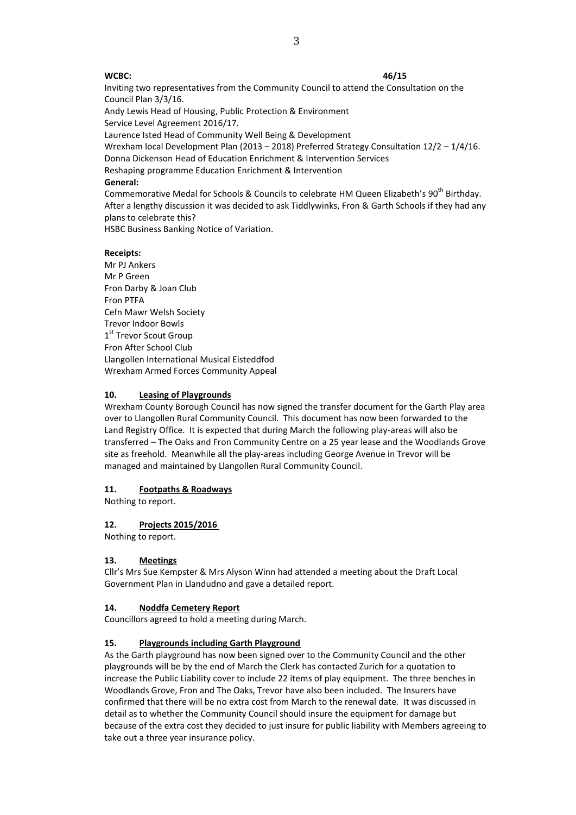#### **WCBC: 46/15**

Inviting two representatives from the Community Council to attend the Consultation on the Council Plan 3/3/16.

Andy Lewis Head of Housing, Public Protection & Environment Service Level Agreement 2016/17.

Laurence Isted Head of Community Well Being & Development

Wrexham local Development Plan (2013 – 2018) Preferred Strategy Consultation 12/2 – 1/4/16. Donna Dickenson Head of Education Enrichment & Intervention Services

Reshaping programme Education Enrichment & Intervention

### **General:**

Commemorative Medal for Schools & Councils to celebrate HM Queen Elizabeth's 90<sup>th</sup> Birthday. After a lengthy discussion it was decided to ask Tiddlywinks, Fron & Garth Schools if they had any plans to celebrate this?

HSBC Business Banking Notice of Variation.

### **Receipts:**

Mr PI Ankers Mr P Green Fron Darby & Joan Club Fron PTFA Cefn Mawr Welsh Society Trevor Indoor Bowls 1st Trevor Scout Group Fron After School Club Llangollen International Musical Eisteddfod Wrexham Armed Forces Community Appeal

### **10. Leasing of Playgrounds**

Wrexham County Borough Council has now signed the transfer document for the Garth Play area over to Llangollen Rural Community Council. This document has now been forwarded to the Land Registry Office. It is expected that during March the following play-areas will also be transferred – The Oaks and Fron Community Centre on a 25 year lease and the Woodlands Grove site as freehold. Meanwhile all the play-areas including George Avenue in Trevor will be managed and maintained by Llangollen Rural Community Council.

## **11. Footpaths & Roadways**

Nothing to report.

## **12. Projects 2015/2016**

Nothing to report.

## **13. Meetings**

Cllr's Mrs Sue Kempster & Mrs Alyson Winn had attended a meeting about the Draft Local Government Plan in Llandudno and gave a detailed report.

#### **14. Noddfa Cemetery Report**

Councillors agreed to hold a meeting during March.

#### **15. Playgrounds including Garth Playground**

As the Garth playground has now been signed over to the Community Council and the other playgrounds will be by the end of March the Clerk has contacted Zurich for a quotation to increase the Public Liability cover to include 22 items of play equipment. The three benches in Woodlands Grove, Fron and The Oaks, Trevor have also been included. The Insurers have confirmed that there will be no extra cost from March to the renewal date. It was discussed in detail as to whether the Community Council should insure the equipment for damage but because of the extra cost they decided to just insure for public liability with Members agreeing to take out a three year insurance policy.